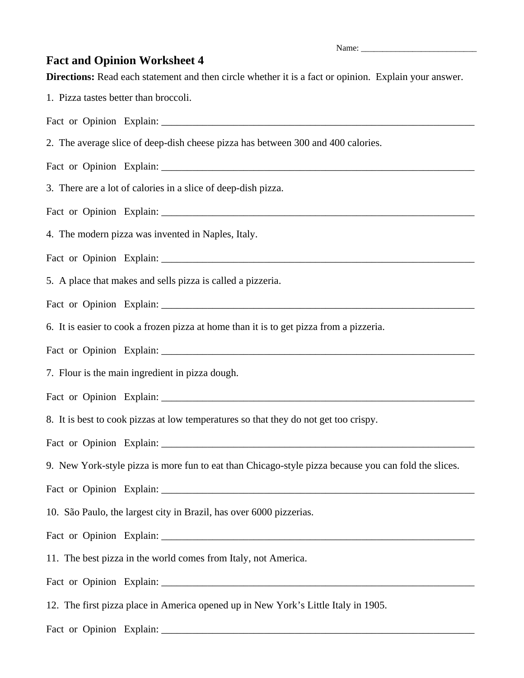Name:

## **Fact and Opinion Worksheet 4**

**Directions:** Read each statement and then circle whether it is a fact or opinion. Explain your answer.

1. Pizza tastes better than broccoli.

Fact or Opinion Explain:

2. The average slice of deep-dish cheese pizza has between 300 and 400 calories.

Fact or Opinion Explain:

3. There are a lot of calories in a slice of deep-dish pizza.

Fact or Opinion Explain: \_\_\_\_\_\_\_\_\_\_\_\_\_\_\_\_\_\_\_\_\_\_\_\_\_\_\_\_\_\_\_\_\_\_\_\_\_\_\_\_\_\_\_\_\_\_\_\_\_\_\_\_\_\_\_\_\_\_\_\_\_

4. The modern pizza was invented in Naples, Italy.

Fact or Opinion Explain: \_\_\_\_\_\_\_\_\_\_\_\_\_\_\_\_\_\_\_\_\_\_\_\_\_\_\_\_\_\_\_\_\_\_\_\_\_\_\_\_\_\_\_\_\_\_\_\_\_\_\_\_\_\_\_\_\_\_\_\_\_

5. A place that makes and sells pizza is called a pizzeria.

Fact or Opinion Explain:

6. It is easier to cook a frozen pizza at home than it is to get pizza from a pizzeria.

Fact or Opinion Explain:

7. Flour is the main ingredient in pizza dough.

Fact or Opinion Explain:

8. It is best to cook pizzas at low temperatures so that they do not get too crispy.

Fact or Opinion Explain: \_\_\_\_\_\_\_\_\_\_\_\_\_\_\_\_\_\_\_\_\_\_\_\_\_\_\_\_\_\_\_\_\_\_\_\_\_\_\_\_\_\_\_\_\_\_\_\_\_\_\_\_\_\_\_\_\_\_\_\_\_

9. New York-style pizza is more fun to eat than Chicago-style pizza because you can fold the slices.

Fact or Opinion Explain:

10. São Paulo, the largest city in Brazil, has over 6000 pizzerias.

Fact or Opinion Explain: \_\_\_\_\_\_\_\_\_\_\_\_\_\_\_\_\_\_\_\_\_\_\_\_\_\_\_\_\_\_\_\_\_\_\_\_\_\_\_\_\_\_\_\_\_\_\_\_\_\_\_\_\_\_\_\_\_\_\_\_\_

11. The best pizza in the world comes from Italy, not America.

Fact or Opinion Explain:

12. The first pizza place in America opened up in New York's Little Italy in 1905.

Fact or Opinion Explain: \_\_\_\_\_\_\_\_\_\_\_\_\_\_\_\_\_\_\_\_\_\_\_\_\_\_\_\_\_\_\_\_\_\_\_\_\_\_\_\_\_\_\_\_\_\_\_\_\_\_\_\_\_\_\_\_\_\_\_\_\_